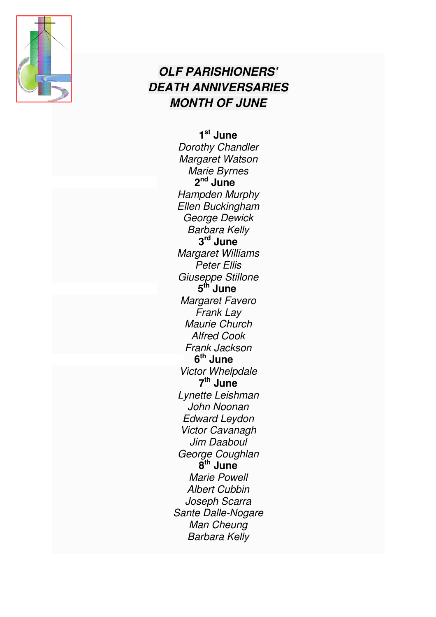

## **OLF PARISHIONERS' DEATH ANNIVERSARIES MONTH OF JUNE**

**1 st June**  Dorothy Chandler Margaret Watson Marie Byrnes 2<sup>nd</sup> June Hampden Murphy Ellen Buckingham George Dewick Barbara Kelly **3 rd June** Margaret Williams Peter Ellis Giuseppe Stillone **5 th June**  Margaret Favero Frank Lay Maurie Church Alfred Cook Frank Jackson **6 th June**  Victor Whelpdale **7 th June**  Lynette Leishman John Noonan Edward Leydon Victor Cavanagh Jim Daaboul George Coughlan **8 th June** Marie Powell Albert Cubbin Joseph Scarra Sante Dalle-Nogare Man Cheung Barbara Kelly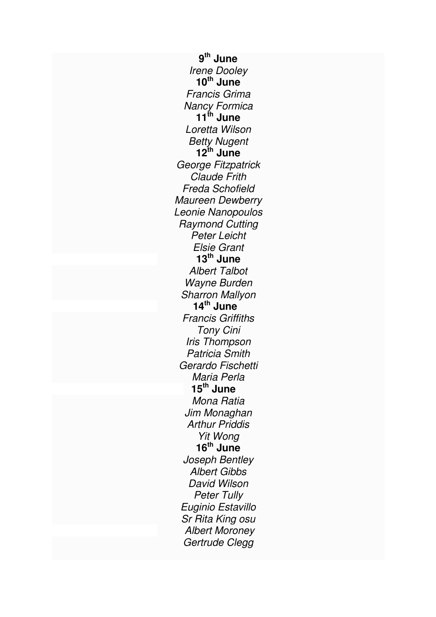**9 th June**  Irene Dooley **10th June**  Francis Grima Nancy Formica **11th June**  Loretta Wilson Betty Nugent **12th June**  George Fitzpatrick Claude Frith Freda Schofield Maureen Dewberry Leonie Nanopoulos Raymond Cutting Peter Leicht Elsie Grant **13th June**  Albert Talbot Wayne Burden Sharron Mallyon **14th June**  Francis Griffiths Tony Cini Iris Thompson Patricia Smith Gerardo Fischetti Maria Perla **15th June**  Mona Ratia Jim Monaghan Arthur Priddis Yit Wong **16th June** Joseph Bentley Albert Gibbs David Wilson Peter Tully Euginio Estavillo Sr Rita King osu Albert Moroney Gertrude Clegg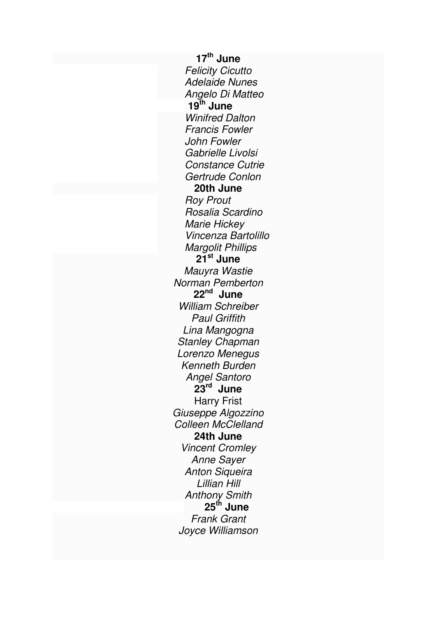**17th June** Felicity Cicutto Adelaide Nunes Angelo Di Matteo  $19^{th}$  **June** Winifred Dalton Francis Fowler John Fowler Gabrielle Livolsi Constance Cutrie Gertrude Conlon **20th June**  Roy Prout Rosalia Scardino Marie Hickey Vincenza Bartolillo Margolit Phillips **21st June**  Mauyra Wastie Norman Pemberton **22nd June**  William Schreiber Paul Griffith Lina Mangogna Stanley Chapman Lorenzo Menegus Kenneth Burden Angel Santoro **23rd June**  Harry Frist Giuseppe Algozzino Colleen McClelland **24th June**  Vincent Cromley Anne Sayer **Anton Sigueira** Lillian Hill Anthony Smith  **25th June** Frank Grant Joyce Williamson